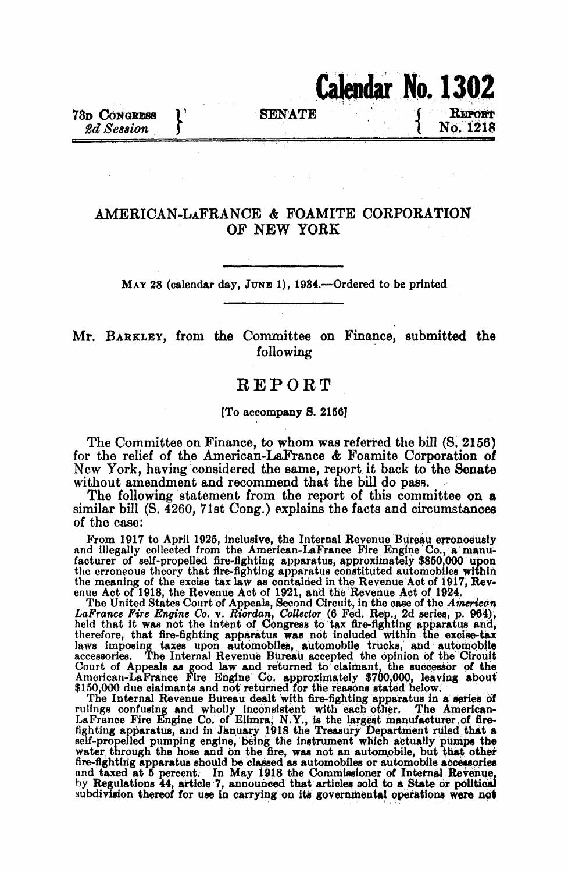# Calendar No. 1302

78D CONGRESS \\Responding \\Responding \\Responding \\Responding \\Responding \\Responding \\Responding \\Responding \\Responding \time \\Responding \time \\Responding \time \time \\Responding \time \time \time \time \time

REPORT 2d Session J t No. 1218

## AMERICAN-LAFRANCE & FOAMITE CORPORATION OF NEW YORK

MAY 28 (calendar day, JUNE 1), 1934.—Ordered to be printed

## Mr. BARKLEY, from the Committee on Finance, submitted the following

## REPORT

#### [To accompany S. 21561

The Committee on Finance, to whom was referred the bill (S. 2156) for the relief of the American-LaFrance & Foamite Corporation of New York, having considered the same, report it back to the Senate without amendment and recommend that the bill do pass.

The following statement from the report of this committee on a similar bill (S. 4260, 71st Cong.) explains the facts and circumstances of the case:

From 1917 to April 1925, inclusive, the Internal Revenue Bureau erronoeusly and Illegally collected from the Arnerican-LaFrance Fire Engine'Co,, a manufacturer of self-propelled fire-fighting apparatus, approximately \$850,000 upon the erroneous theory that fire-fighting apparatus constituted automobiles within the meaning of the excise tax law as contained in the Revenue Act of 1917, Revenue Act of 1918, the Revenue Act of 1921, and the Revenue Act of 1924.

The United States Court of Appeals, Second Circuit, in the case of the American LaFrance Fire Engine Co. v. Riordan, Collector (6 Fed. Rep., 2d series, p. 964), held that it was not the intent of Congress to tax fire-fighting apparatus and, therefore, that fire-fighting apparatus was not Included within the excise-tax laws imposing taxes upon automobiles, automobile trucks, and automobile accessories. The Internal Revenue Burealu accepted the opinion of the Circuit Court of Appeals as good law and returned to claimant, the successor of the American-LaFrance Fire Engine Co. approximately \$700,000, leaving about  $$150,000$  due claimants and not returned for the reasons stated below.

The Internal Revenue Bureau dealt With fire-fighting apparatus in a series of rulings confusing and wholly inconsistent with each other. The American-LaFrance Fire Engine Co. of Elimra, N.Y., is the largest manufacturer of firefighting apparatus, and in January 1918 the Treasury Department ruled that a self-propelled pumping engine, being the instrument which actually pumps the water through the hose and on the fire, was not an automobile, but that other fire-fighting apparatus should be closed as automobiles or automobile accessories and taxed at <sup>6</sup> percent. In May 1918 the Commissioner of Internal Revenue by Regulations 44, article 7, announced that articles sold to a State or political subdivision thereof for use in carrying on its governmental operations wore not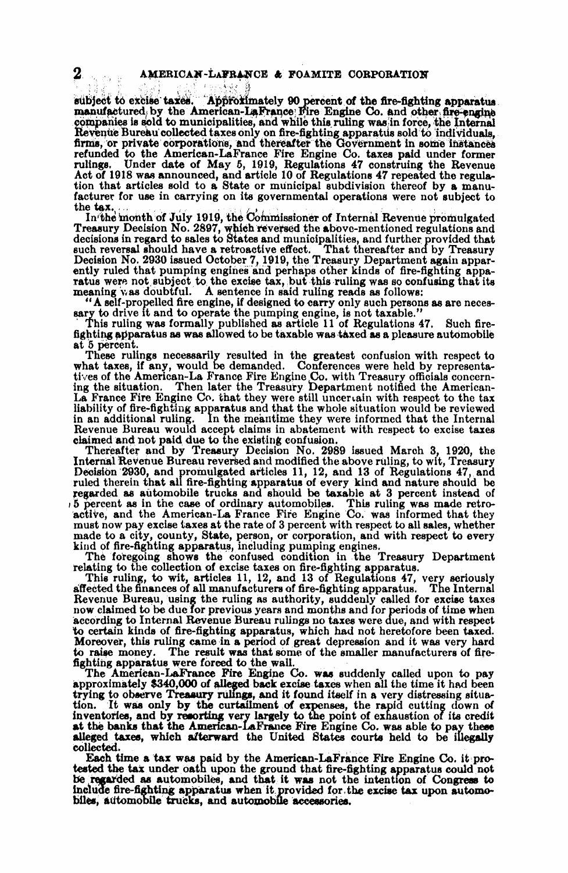bject to excise taxes. Approximately 90 percent of the fire-fighting apparatus manufactured by the American-LaFrance Fire Engine Co. and other fire-engine companies is sold to municipalities, and while this ruling wasin force, the internal Revenue Bureau collected taxes only on fire-fighting apparatus sold to individuals, firms, or private corporations, and thereafter the Government in some instances refunded to the American-LaFrance Fire Engine Co. taxes paid under former rulings. Under date of May 5, 1919, Regulations 47 construing the Revenue Act of 1918 was announced, and article 10 of Regulations 47 repeated the regulation that articles sold to a State or municipal subdivision thereof by a manufacturer for use in carrying on its governmental operations were not subject to the tax.

In the month of July 1919, the Commissioner of Internal Revenue promulgated Treasury Decision No. 2897, which reversed the above-mentioned regulations and decisions in regard to sales to States and municipalities, and further provided that such reversal should have a retroactive effect. That thereafter and by Treasury Decision No. 2930 issued October 7, 1919, the Treasury Department again apparently ruled that pumping engines and perhaps other kinds of fire-fighting apparatus were not subject to the excise tax, but this ruling was so confusing that its meaning was doubtful. A sentence in said ruling reads as follows:

"A self-propelled fire engine, if designed to carry only such persons as are necessary to drive it and to operate the pumping engine, is not taxable."

This ruling was formally published as article 11 of Regulations 47. Such firefighting aparatus as was allowed to be taxable was taxed as a pleasure automobile at 5 percent.

These rulings necessarily resulted in the greatest confusion with respect to what taxes, if any, would be demanded. Conferences were held by representatives of the American-La France Fire Engine Co. with Treasury officials concerning the situation. Then later the Treasury Department notified the American-La France Fire Engine Co. that they were still uncertain with respect to the tax liability of fire-fighting apparatus and that the whole situation would be reviewed in an additional ruling. In the meantime they were informed that the Internal Revenue Bureau would accept claims in abatement with respect to excise taxes claimed and not paid due to the existing confusion.

Thereafter and by Treasury Decision No. 2989 issued March 3, 1920, the Internal Revenue Bureau reversed and modified the above ruling, to wit, Treasury Dceision'2930, and promulgated articles 11, 12, and 13 of Regulations 47, and ruled therein that all fire-fighting apparatus of every kind and nature should be regarded as automobile trucks and should be taxable at 3 percent instead of 5 percent as in the case of ordinary automobiles. This ruling was made retroactive, and the American-La France Fire Engine Co. was informed that they must now pay excise taxes at the rate of 3 percent with respect to all sales, whether made to a city, county, State, person, or corporation, and with respect to every kind of fire-fighting apparatus, including pumping engines.

The foregoing shows the confused condition in the Treasury Department relating to the collection of excise taxes on fire-fighting apparatus.

This ruling, to wit, articles 11, 12, and 13 of Regulations 47, very seriously affected the finances of all manufacturers of fire-fighting apparatus. The Internal Revenue Bureau, using the ruling as authority, suddenly called for excise taxes now claimed to be due for previous years and months and for periods of time when according to Internal Revenue Bureau rulings no taxes were due, and with respect to certain kinds of fire-fighting apparatus, which had not heretofore been taxed. Moreover, this ruling came in a period of great depression and it was very hard to raise money. The result was that some of the smaller manufacturers of firefighting apparatus were forced to the wall.

The American-LaFrance Fire Engine Co. was suddenly called upon to pay approximately \$340,000 of Alleged back excise taxes when all the time it had been trying to observe Treasury rulings, and it found itself in a very distressing situation. It was only by the curtailment of expenses, the rapid cutting down of inventories, and by resorting very largely to the point of exhaustion of its credit at the banks that the American-LaFrance Fire Engine Co. was able to pay these alleged taxes, which afterward the United States courts held to be illegally collected.

Each time a tax was paid by the American-LIFrance Fire Engine Co. it protested the tax under oath upon the ground that fire-fighting apparatus could not be regarded as automobiles, and that it was not the intention of Congress to include fire-fighting apparatus when it provided for the excise tax upon automobiles, automobile trucks, and automobile accessories.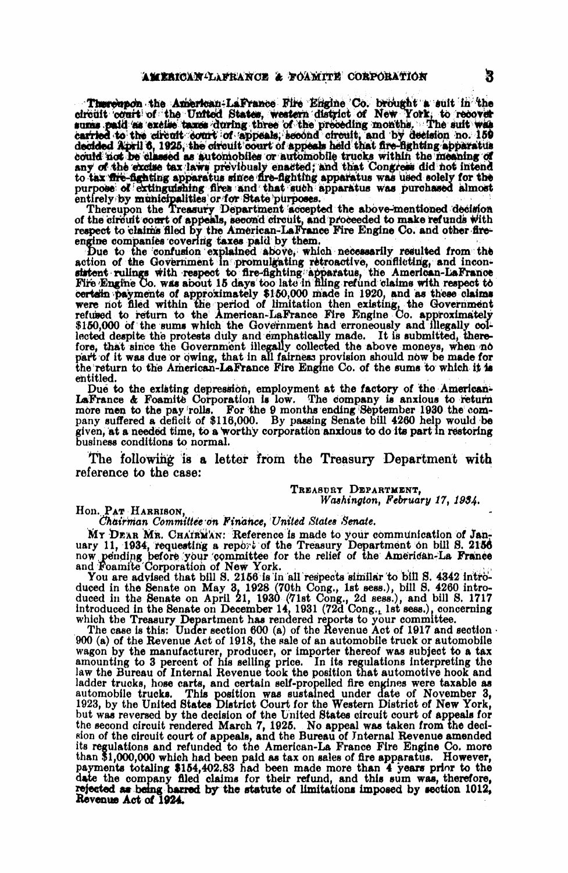Thereion the American-LaFrance Fire Engine Co. brought a suit in the circuit court of the United States, western district of New York, to recover sums paid as excise taxes during three of the preceding months. The suit wa to tax fire-fighting apparatus since fire-fighting apparatus was used solely for the purpose of extinguishing fires and that such apparatus was purchased almost

entirely by municipalities or for State purposes.<br>Thereupon the Treasury Department accepted the above-mentioned decision<br>of the circuit court of appeals, second circuit, and proceeded to make refunds with respect to claims filed by the American-LaFrance Fire Engine Co. and other fireengine companies covering taxes paid by them.

Due to the confusion explained above, which necessarily resulted from the action of the Government in promulgating retroactive, conflicting, and inconsistent rulings with respect to fire-fighting apparatus, the American-La certain payments of approximately \$150,000 made in 1920, and as these claims were not filed within the period of limitation then existing, the Government refused to return to the American-LaFrance Fire Engine Co. approximately \$150,000 of the sums which the Government had erroneously and illegally collected despite the protests duly and emphatically made. It is submitted, therefore, that since the Government illegally collected the above moneys, when no part of it was due or owing, that in all fairness provision should now be made for the return to the American-LaFrance Fire Engine Co. of the sums to which it is entitled.

Due to the existing depression, employment at the factory of the American-LaFrance & Foamite Corporation is low. The company is anxious to return more men to the pay rolls. For the 9 months ending September 1930 the company suffered a deficit of \$116,000. By passing Senate bill 4260 help would be given, at a needed time, to a worthy corporation anxious to do its part in restoring business conditions to normal.

The following is a letter from the Treasury Department with reference to the case:

#### TREASURY DEPARTMENT. Washington, February 17, 1934.

### Hon. PAT HARRISON.

#### Chairman Committée on Finance, United States Senate.

MY DEAR MR. CHAIRMAN: Reference is made to your communication of January 11, 1934, requesting a report of the Treasury Department on bill S. 2156 now pending before your committee for the relief of the American-La France

You are advised that bill S. 2156 is in all respects similar to bill S. 4342 introduced in the Senate on May 3, 1928 (70th Cong., 1st sess.), bill S. 4260 introduced in the Senate on April 21, 1930 (71st Cong., 2d sess.),

which the Treasury Department has rendered reports to your committee.<br>The case is this: Under section 600 (a) of the Revenue Act of 1917 and section 900 (a) of the Revenue Act of 1918, the sale of an automobile truck or automobile wagon by the manufacturer, producer, or importer thereof was subject to a tax amounting to 3 percent of his selling price. In its regulations interpreting the law the Bureau of Internal Revenue took the position that automotive hook and ladder trucks, hose carts, and certain self-propelled fire engines were taxable as automobile trucks. This position was sustained under date of November 3, 1923, by the United States District Court for the Western District of New York, but was reversed by the decision of the United States circuit court o the second circuit rendered March 7, 1925. No appeal was taken from the decision of the circuit court of appeals, and the Bureau of Internal Revenue amended its regulations and refunded to the American-La France Fire Engine Co. more than \$1,000,000 which had been paid as tax on sales of fire apparatus. However,<br>payments totaling \$154,402.83 had been made more than 4 years prior to the<br>date the company filed claims for their refund, and this sum was, t Revenue Act of 1924.